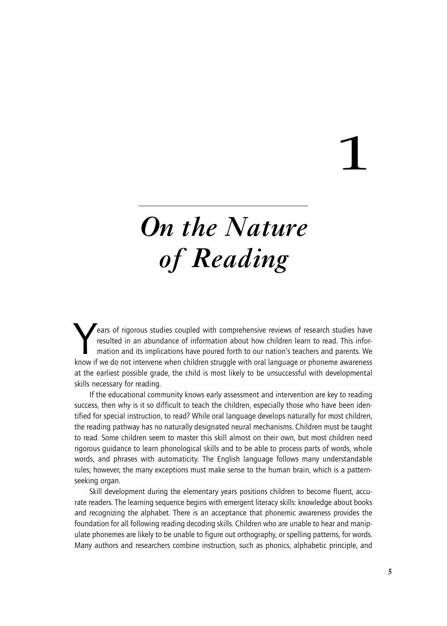# 1

# *On the Nature of Reading*

Years of rigorous studies coupled with comprehensive reviews of research studies have<br>resulted in an abundance of information about how children learn to read. This infor-<br>mation and its implications have poured forth to o resulted in an abundance of information about how children learn to read. This information and its implications have poured forth to our nation's teachers and parents. We know if we do not intervene when children struggle with oral language or phoneme awareness at the earliest possible grade, the child is most likely to be unsuccessful with developmental skills necessary for reading.

If the educational community knows early assessment and intervention are key to reading success, then why is it so difficult to teach the children, especially those who have been identified for special instruction, to read? While oral language develops naturally for most children, the reading pathway has no naturally designated neural mechanisms. Children must be taught to read. Some children seem to master this skill almost on their own, but most children need rigorous guidance to learn phonological skills and to be able to process parts of words, whole words, and phrases with automaticity. The English language follows many understandable rules; however, the many exceptions must make sense to the human brain, which is a patternseeking organ.

Skill development during the elementary years positions children to become fluent, accurate readers. The learning sequence begins with emergent literacy skills: knowledge about books and recognizing the alphabet. There is an acceptance that phonemic awareness provides the foundation for all following reading decoding skills. Children who are unable to hear and manipulate phonemes are likely to be unable to figure out orthography, or spelling patterns, for words. Many authors and researchers combine instruction, such as phonics, alphabetic principle, and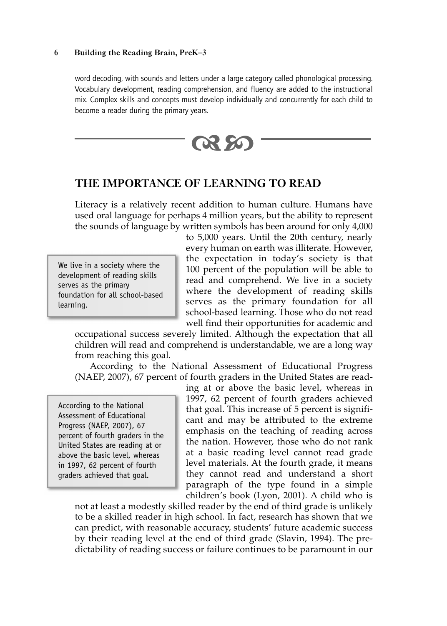word decoding, with sounds and letters under a large category called phonological processing. Vocabulary development, reading comprehension, and fluency are added to the instructional mix. Complex skills and concepts must develop individually and concurrently for each child to become a reader during the primary years.

0350

# **THE IMPORTANCE OF LEARNING TO READ**

Literacy is a relatively recent addition to human culture. Humans have used oral language for perhaps 4 million years, but the ability to represent the sounds of language by written symbols has been around for only 4,000

We live in a society where the development of reading skills serves as the primary foundation for all school-based learning.

to 5,000 years. Until the 20th century, nearly every human on earth was illiterate. However, the expectation in today's society is that 100 percent of the population will be able to read and comprehend. We live in a society where the development of reading skills serves as the primary foundation for all school-based learning. Those who do not read well find their opportunities for academic and

occupational success severely limited. Although the expectation that all children will read and comprehend is understandable, we are a long way from reaching this goal.

According to the National Assessment of Educational Progress (NAEP, 2007), 67 percent of fourth graders in the United States are read-

According to the National Assessment of Educational Progress (NAEP, 2007), 67 percent of fourth graders in the United States are reading at or above the basic level, whereas in 1997, 62 percent of fourth graders achieved that goal.

ing at or above the basic level, whereas in 1997, 62 percent of fourth graders achieved that goal. This increase of 5 percent is significant and may be attributed to the extreme emphasis on the teaching of reading across the nation. However, those who do not rank at a basic reading level cannot read grade level materials. At the fourth grade, it means they cannot read and understand a short paragraph of the type found in a simple children's book (Lyon, 2001). A child who is

not at least a modestly skilled reader by the end of third grade is unlikely to be a skilled reader in high school. In fact, research has shown that we can predict, with reasonable accuracy, students' future academic success by their reading level at the end of third grade (Slavin, 1994). The predictability of reading success or failure continues to be paramount in our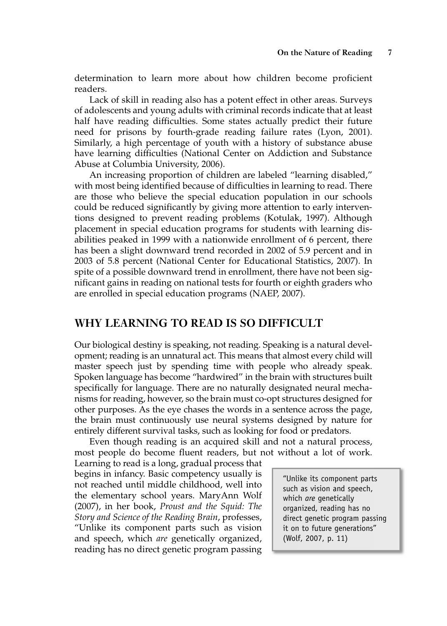determination to learn more about how children become proficient readers.

Lack of skill in reading also has a potent effect in other areas. Surveys of adolescents and young adults with criminal records indicate that at least half have reading difficulties. Some states actually predict their future need for prisons by fourth-grade reading failure rates (Lyon, 2001). Similarly, a high percentage of youth with a history of substance abuse have learning difficulties (National Center on Addiction and Substance Abuse at Columbia University, 2006).

An increasing proportion of children are labeled "learning disabled," with most being identified because of difficulties in learning to read. There are those who believe the special education population in our schools could be reduced significantly by giving more attention to early interventions designed to prevent reading problems (Kotulak, 1997). Although placement in special education programs for students with learning disabilities peaked in 1999 with a nationwide enrollment of 6 percent, there has been a slight downward trend recorded in 2002 of 5.9 percent and in 2003 of 5.8 percent (National Center for Educational Statistics, 2007). In spite of a possible downward trend in enrollment, there have not been significant gains in reading on national tests for fourth or eighth graders who are enrolled in special education programs (NAEP, 2007).

# **WHY LEARNING TO READ IS SO DIFFICULT**

Our biological destiny is speaking, not reading. Speaking is a natural development; reading is an unnatural act. This means that almost every child will master speech just by spending time with people who already speak. Spoken language has become "hardwired" in the brain with structures built specifically for language. There are no naturally designated neural mechanisms for reading, however, so the brain must co-opt structures designed for other purposes. As the eye chases the words in a sentence across the page, the brain must continuously use neural systems designed by nature for entirely different survival tasks, such as looking for food or predators.

Even though reading is an acquired skill and not a natural process, most people do become fluent readers, but not without a lot of work.

Learning to read is a long, gradual process that begins in infancy. Basic competency usually is not reached until middle childhood, well into the elementary school years. MaryAnn Wolf (2007), in her book, *Proust and the Squid: The Story and Science of the Reading Brain*, professes, "Unlike its component parts such as vision and speech, which *are* genetically organized, reading has no direct genetic program passing

"Unlike its component parts such as vision and speech, which *are* genetically organized, reading has no direct genetic program passing it on to future generations" (Wolf, 2007, p. 11)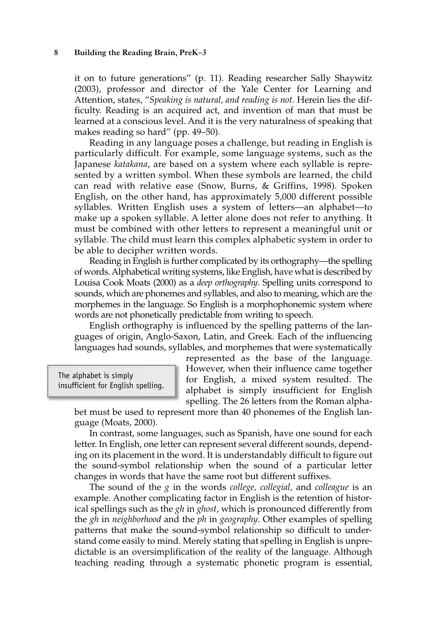it on to future generations" (p. 11). Reading researcher Sally Shaywitz (2003), professor and director of the Yale Center for Learning and Attention, states, "*Speaking is natural, and reading is not.* Herein lies the difficulty. Reading is an acquired act, and invention of man that must be learned at a conscious level. And it is the very naturalness of speaking that makes reading so hard" (pp. 49–50).

Reading in any language poses a challenge, but reading in English is particularly difficult. For example, some language systems, such as the Japanese *katakana*, are based on a system where each syllable is represented by a written symbol. When these symbols are learned, the child can read with relative ease (Snow, Burns, & Griffins, 1998). Spoken English, on the other hand, has approximately 5,000 different possible syllables. Written English uses a system of letters—an alphabet—to make up a spoken syllable. A letter alone does not refer to anything. It must be combined with other letters to represent a meaningful unit or syllable. The child must learn this complex alphabetic system in order to be able to decipher written words.

Reading in English is further complicated by its orthography—the spelling of words.Alphabetical writing systems, like English, have what is described by Louisa Cook Moats (2000) as a *deep orthography*. Spelling units correspond to sounds, which are phonemes and syllables, and also to meaning, which are the morphemes in the language. So English is a morphophonemic system where words are not phonetically predictable from writing to speech.

English orthography is influenced by the spelling patterns of the languages of origin, Anglo-Saxon, Latin, and Greek. Each of the influencing languages had sounds, syllables, and morphemes that were systematically

The alphabet is simply insufficient for English spelling. represented as the base of the language. However, when their influence came together for English, a mixed system resulted. The alphabet is simply insufficient for English spelling. The 26 letters from the Roman alpha-

bet must be used to represent more than 40 phonemes of the English language (Moats, 2000).

In contrast, some languages, such as Spanish, have one sound for each letter. In English, one letter can represent several different sounds, depending on its placement in the word. It is understandably difficult to figure out the sound-symbol relationship when the sound of a particular letter changes in words that have the same root but different suffixes.

The sound of the *g* in the words *college, collegial,* and *colleague* is an example. Another complicating factor in English is the retention of historical spellings such as the *gh* in *ghost*, which is pronounced differently from the *gh* in *neighborhood* and the *ph* in *geography*. Other examples of spelling patterns that make the sound-symbol relationship so difficult to understand come easily to mind. Merely stating that spelling in English is unpredictable is an oversimplification of the reality of the language. Although teaching reading through a systematic phonetic program is essential,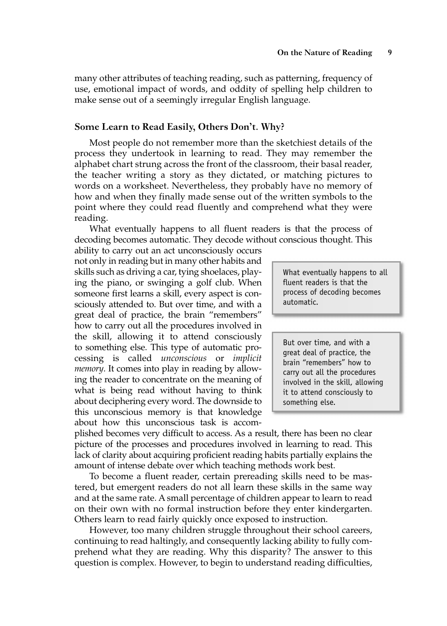many other attributes of teaching reading, such as patterning, frequency of use, emotional impact of words, and oddity of spelling help children to make sense out of a seemingly irregular English language.

#### **Some Learn to Read Easily, Others Don't. Why?**

Most people do not remember more than the sketchiest details of the process they undertook in learning to read. They may remember the alphabet chart strung across the front of the classroom, their basal reader, the teacher writing a story as they dictated, or matching pictures to words on a worksheet. Nevertheless, they probably have no memory of how and when they finally made sense out of the written symbols to the point where they could read fluently and comprehend what they were reading.

What eventually happens to all fluent readers is that the process of decoding becomes automatic. They decode without conscious thought. This

ability to carry out an act unconsciously occurs not only in reading but in many other habits and skills such as driving a car, tying shoelaces, playing the piano, or swinging a golf club. When someone first learns a skill, every aspect is consciously attended to. But over time, and with a great deal of practice, the brain "remembers" how to carry out all the procedures involved in the skill, allowing it to attend consciously to something else. This type of automatic processing is called *unconscious* or *implicit memory*. It comes into play in reading by allowing the reader to concentrate on the meaning of what is being read without having to think about deciphering every word. The downside to this unconscious memory is that knowledge about how this unconscious task is accom-

What eventually happens to all fluent readers is that the process of decoding becomes automatic.

But over time, and with a great deal of practice, the brain "remembers" how to carry out all the procedures involved in the skill, allowing it to attend consciously to something else.

plished becomes very difficult to access. As a result, there has been no clear picture of the processes and procedures involved in learning to read. This lack of clarity about acquiring proficient reading habits partially explains the amount of intense debate over which teaching methods work best.

To become a fluent reader, certain prereading skills need to be mastered, but emergent readers do not all learn these skills in the same way and at the same rate. A small percentage of children appear to learn to read on their own with no formal instruction before they enter kindergarten. Others learn to read fairly quickly once exposed to instruction.

However, too many children struggle throughout their school careers, continuing to read haltingly, and consequently lacking ability to fully comprehend what they are reading. Why this disparity? The answer to this question is complex. However, to begin to understand reading difficulties,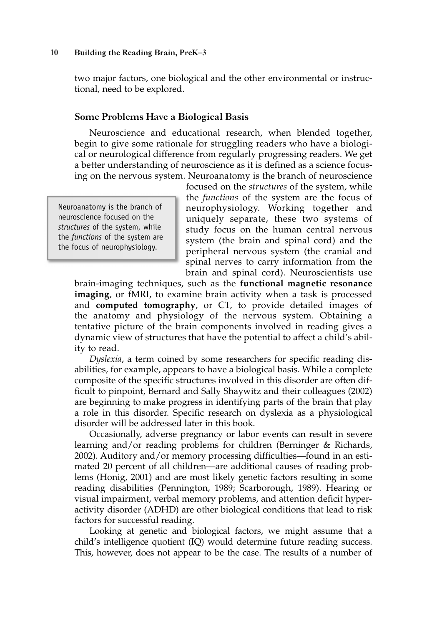two major factors, one biological and the other environmental or instructional, need to be explored.

#### **Some Problems Have a Biological Basis**

Neuroscience and educational research, when blended together, begin to give some rationale for struggling readers who have a biological or neurological difference from regularly progressing readers. We get a better understanding of neuroscience as it is defined as a science focusing on the nervous system. Neuroanatomy is the branch of neuroscience

Neuroanatomy is the branch of neuroscience focused on the *structures* of the system, while the *functions* of the system are the focus of neurophysiology.

focused on the *structures* of the system, while the *functions* of the system are the focus of neurophysiology. Working together and uniquely separate, these two systems of study focus on the human central nervous system (the brain and spinal cord) and the peripheral nervous system (the cranial and spinal nerves to carry information from the brain and spinal cord). Neuroscientists use

brain-imaging techniques, such as the **functional magnetic resonance imaging**, or fMRI, to examine brain activity when a task is processed and **computed tomography**, or CT, to provide detailed images of the anatomy and physiology of the nervous system. Obtaining a tentative picture of the brain components involved in reading gives a dynamic view of structures that have the potential to affect a child's ability to read.

*Dyslexia*, a term coined by some researchers for specific reading disabilities, for example, appears to have a biological basis. While a complete composite of the specific structures involved in this disorder are often difficult to pinpoint, Bernard and Sally Shaywitz and their colleagues (2002) are beginning to make progress in identifying parts of the brain that play a role in this disorder. Specific research on dyslexia as a physiological disorder will be addressed later in this book.

Occasionally, adverse pregnancy or labor events can result in severe learning and/or reading problems for children (Berninger & Richards, 2002). Auditory and/or memory processing difficulties—found in an estimated 20 percent of all children—are additional causes of reading problems (Honig, 2001) and are most likely genetic factors resulting in some reading disabilities (Pennington, 1989; Scarborough, 1989). Hearing or visual impairment, verbal memory problems, and attention deficit hyperactivity disorder (ADHD) are other biological conditions that lead to risk factors for successful reading.

Looking at genetic and biological factors, we might assume that a child's intelligence quotient (IQ) would determine future reading success. This, however, does not appear to be the case. The results of a number of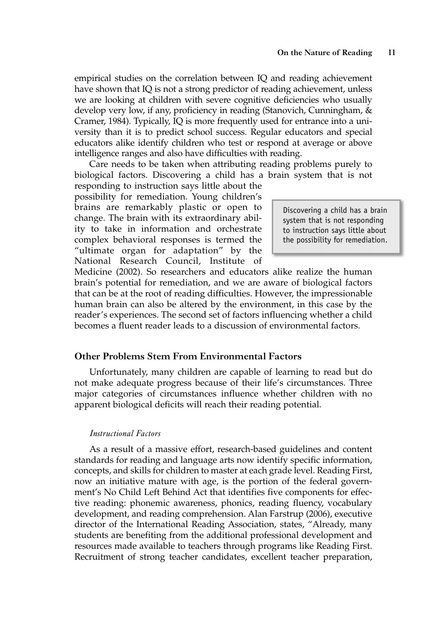empirical studies on the correlation between IQ and reading achievement have shown that IQ is not a strong predictor of reading achievement, unless we are looking at children with severe cognitive deficiencies who usually develop very low, if any, proficiency in reading (Stanovich, Cunningham, & Cramer, 1984). Typically, IQ is more frequently used for entrance into a university than it is to predict school success. Regular educators and special educators alike identify children who test or respond at average or above intelligence ranges and also have difficulties with reading.

Care needs to be taken when attributing reading problems purely to biological factors. Discovering a child has a brain system that is not

responding to instruction says little about the possibility for remediation. Young children's brains are remarkably plastic or open to change. The brain with its extraordinary ability to take in information and orchestrate complex behavioral responses is termed the "ultimate organ for adaptation" by the National Research Council, Institute of

Discovering a child has a brain system that is not responding to instruction says little about the possibility for remediation.

Medicine (2002). So researchers and educators alike realize the human brain's potential for remediation, and we are aware of biological factors that can be at the root of reading difficulties. However, the impressionable human brain can also be altered by the environment, in this case by the reader's experiences. The second set of factors influencing whether a child becomes a fluent reader leads to a discussion of environmental factors.

#### **Other Problems Stem From Environmental Factors**

Unfortunately, many children are capable of learning to read but do not make adequate progress because of their life's circumstances. Three major categories of circumstances influence whether children with no apparent biological deficits will reach their reading potential.

#### *Instructional Factors*

As a result of a massive effort, research-based guidelines and content standards for reading and language arts now identify specific information, concepts, and skills for children to master at each grade level. Reading First, now an initiative mature with age, is the portion of the federal government's No Child Left Behind Act that identifies five components for effective reading: phonemic awareness, phonics, reading fluency, vocabulary development, and reading comprehension. Alan Farstrup (2006), executive director of the International Reading Association, states, "Already, many students are benefiting from the additional professional development and resources made available to teachers through programs like Reading First. Recruitment of strong teacher candidates, excellent teacher preparation,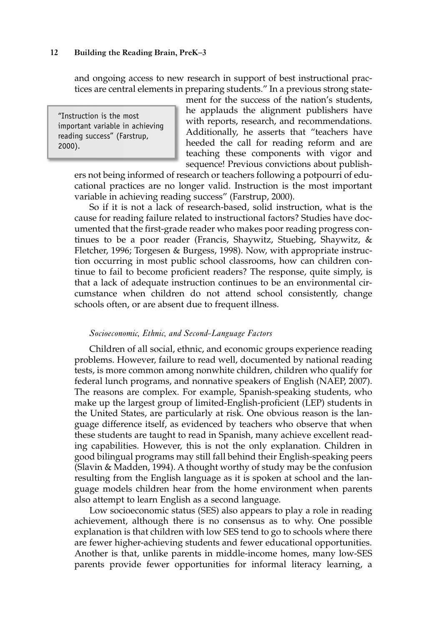and ongoing access to new research in support of best instructional practices are central elements in preparing students." In a previous strong state-

"Instruction is the most important variable in achieving reading success" (Farstrup, 2000).

ment for the success of the nation's students, he applauds the alignment publishers have with reports, research, and recommendations. Additionally, he asserts that "teachers have heeded the call for reading reform and are teaching these components with vigor and sequence! Previous convictions about publish-

ers not being informed of research or teachers following a potpourri of educational practices are no longer valid. Instruction is the most important variable in achieving reading success" (Farstrup, 2000).

So if it is not a lack of research-based, solid instruction, what is the cause for reading failure related to instructional factors? Studies have documented that the first-grade reader who makes poor reading progress continues to be a poor reader (Francis, Shaywitz, Stuebing, Shaywitz, & Fletcher, 1996; Torgesen & Burgess, 1998). Now, with appropriate instruction occurring in most public school classrooms, how can children continue to fail to become proficient readers? The response, quite simply, is that a lack of adequate instruction continues to be an environmental circumstance when children do not attend school consistently, change schools often, or are absent due to frequent illness.

#### *Socioeconomic, Ethnic, and Second-Language Factors*

Children of all social, ethnic, and economic groups experience reading problems. However, failure to read well, documented by national reading tests, is more common among nonwhite children, children who qualify for federal lunch programs, and nonnative speakers of English (NAEP, 2007). The reasons are complex. For example, Spanish-speaking students, who make up the largest group of limited-English-proficient (LEP) students in the United States, are particularly at risk. One obvious reason is the language difference itself, as evidenced by teachers who observe that when these students are taught to read in Spanish, many achieve excellent reading capabilities. However, this is not the only explanation. Children in good bilingual programs may still fall behind their English-speaking peers (Slavin & Madden, 1994). A thought worthy of study may be the confusion resulting from the English language as it is spoken at school and the language models children hear from the home environment when parents also attempt to learn English as a second language.

Low socioeconomic status (SES) also appears to play a role in reading achievement, although there is no consensus as to why. One possible explanation is that children with low SES tend to go to schools where there are fewer higher-achieving students and fewer educational opportunities. Another is that, unlike parents in middle-income homes, many low-SES parents provide fewer opportunities for informal literacy learning, a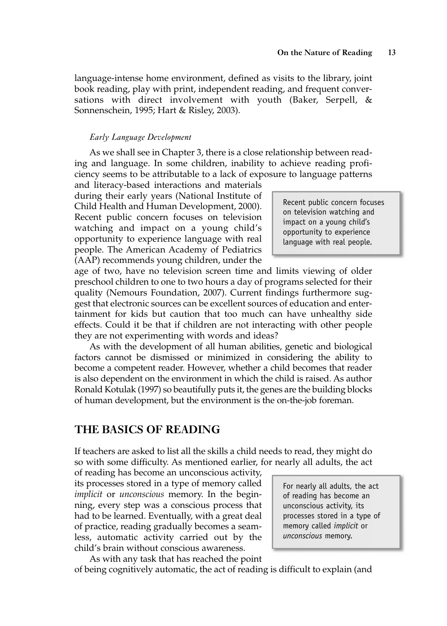language-intense home environment, defined as visits to the library, joint book reading, play with print, independent reading, and frequent conversations with direct involvement with youth (Baker, Serpell,  $\&$ Sonnenschein, 1995; Hart & Risley, 2003).

#### *Early Language Development*

As we shall see in Chapter 3, there is a close relationship between reading and language. In some children, inability to achieve reading proficiency seems to be attributable to a lack of exposure to language patterns

and literacy-based interactions and materials during their early years (National Institute of Child Health and Human Development, 2000). Recent public concern focuses on television watching and impact on a young child's opportunity to experience language with real people. The American Academy of Pediatrics (AAP) recommends young children, under the

Recent public concern focuses on television watching and impact on a young child's opportunity to experience language with real people.

age of two, have no television screen time and limits viewing of older preschool children to one to two hours a day of programs selected for their quality (Nemours Foundation, 2007). Current findings furthermore suggest that electronic sources can be excellent sources of education and entertainment for kids but caution that too much can have unhealthy side effects. Could it be that if children are not interacting with other people they are not experimenting with words and ideas?

As with the development of all human abilities, genetic and biological factors cannot be dismissed or minimized in considering the ability to become a competent reader. However, whether a child becomes that reader is also dependent on the environment in which the child is raised. As author Ronald Kotulak (1997) so beautifully puts it, the genes are the building blocks of human development, but the environment is the on-the-job foreman.

### **THE BASICS OF READING**

If teachers are asked to list all the skills a child needs to read, they might do so with some difficulty. As mentioned earlier, for nearly all adults, the act

of reading has become an unconscious activity, its processes stored in a type of memory called *implicit* or *unconscious* memory. In the beginning, every step was a conscious process that had to be learned. Eventually, with a great deal of practice, reading gradually becomes a seamless, automatic activity carried out by the child's brain without conscious awareness.

For nearly all adults, the act of reading has become an unconscious activity, its processes stored in a type of memory called *implicit* or *unconscious* memory.

As with any task that has reached the point of being cognitively automatic, the act of reading is difficult to explain (and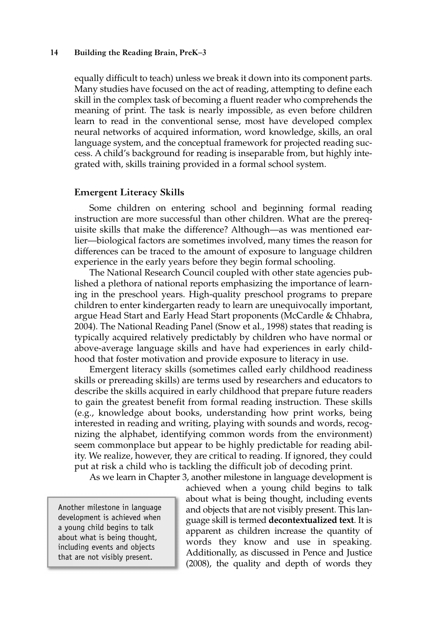equally difficult to teach) unless we break it down into its component parts. Many studies have focused on the act of reading, attempting to define each skill in the complex task of becoming a fluent reader who comprehends the meaning of print. The task is nearly impossible, as even before children learn to read in the conventional sense, most have developed complex neural networks of acquired information, word knowledge, skills, an oral language system, and the conceptual framework for projected reading success. A child's background for reading is inseparable from, but highly integrated with, skills training provided in a formal school system.

#### **Emergent Literacy Skills**

Some children on entering school and beginning formal reading instruction are more successful than other children. What are the prerequisite skills that make the difference? Although—as was mentioned earlier—biological factors are sometimes involved, many times the reason for differences can be traced to the amount of exposure to language children experience in the early years before they begin formal schooling.

The National Research Council coupled with other state agencies published a plethora of national reports emphasizing the importance of learning in the preschool years. High-quality preschool programs to prepare children to enter kindergarten ready to learn are unequivocally important, argue Head Start and Early Head Start proponents (McCardle & Chhabra, 2004). The National Reading Panel (Snow et al., 1998) states that reading is typically acquired relatively predictably by children who have normal or above-average language skills and have had experiences in early childhood that foster motivation and provide exposure to literacy in use.

Emergent literacy skills (sometimes called early childhood readiness skills or prereading skills) are terms used by researchers and educators to describe the skills acquired in early childhood that prepare future readers to gain the greatest benefit from formal reading instruction. These skills (e.g., knowledge about books, understanding how print works, being interested in reading and writing, playing with sounds and words, recognizing the alphabet, identifying common words from the environment) seem commonplace but appear to be highly predictable for reading ability. We realize, however, they are critical to reading. If ignored, they could put at risk a child who is tackling the difficult job of decoding print.

As we learn in Chapter 3, another milestone in language development is

Another milestone in language development is achieved when a young child begins to talk about what is being thought, including events and objects that are not visibly present.

achieved when a young child begins to talk about what is being thought, including events and objects that are not visibly present. This language skill is termed **decontextualized text**. It is apparent as children increase the quantity of words they know and use in speaking. Additionally, as discussed in Pence and Justice (2008), the quality and depth of words they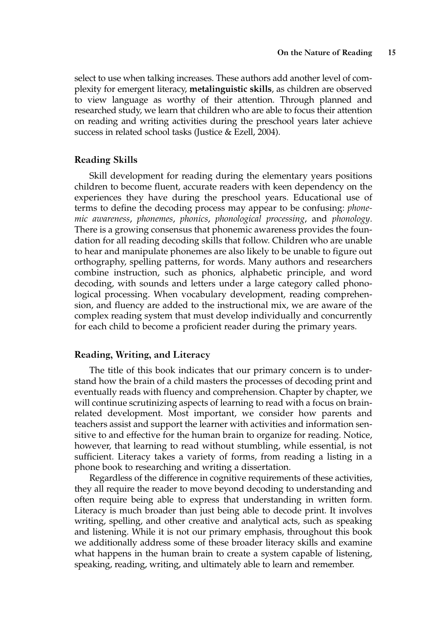select to use when talking increases. These authors add another level of complexity for emergent literacy, **metalinguistic skills**, as children are observed to view language as worthy of their attention. Through planned and researched study, we learn that children who are able to focus their attention on reading and writing activities during the preschool years later achieve success in related school tasks (Justice & Ezell, 2004).

#### **Reading Skills**

Skill development for reading during the elementary years positions children to become fluent, accurate readers with keen dependency on the experiences they have during the preschool years. Educational use of terms to define the decoding process may appear to be confusing: *phonemic awareness*, *phonemes*, *phonics*, *phonological processing*, and *phonology*. There is a growing consensus that phonemic awareness provides the foundation for all reading decoding skills that follow. Children who are unable to hear and manipulate phonemes are also likely to be unable to figure out orthography, spelling patterns, for words. Many authors and researchers combine instruction, such as phonics, alphabetic principle, and word decoding, with sounds and letters under a large category called phonological processing. When vocabulary development, reading comprehension, and fluency are added to the instructional mix, we are aware of the complex reading system that must develop individually and concurrently for each child to become a proficient reader during the primary years.

#### **Reading, Writing, and Literacy**

The title of this book indicates that our primary concern is to understand how the brain of a child masters the processes of decoding print and eventually reads with fluency and comprehension. Chapter by chapter, we will continue scrutinizing aspects of learning to read with a focus on brainrelated development. Most important, we consider how parents and teachers assist and support the learner with activities and information sensitive to and effective for the human brain to organize for reading. Notice, however, that learning to read without stumbling, while essential, is not sufficient. Literacy takes a variety of forms, from reading a listing in a phone book to researching and writing a dissertation.

Regardless of the difference in cognitive requirements of these activities, they all require the reader to move beyond decoding to understanding and often require being able to express that understanding in written form. Literacy is much broader than just being able to decode print. It involves writing, spelling, and other creative and analytical acts, such as speaking and listening. While it is not our primary emphasis, throughout this book we additionally address some of these broader literacy skills and examine what happens in the human brain to create a system capable of listening, speaking, reading, writing, and ultimately able to learn and remember.